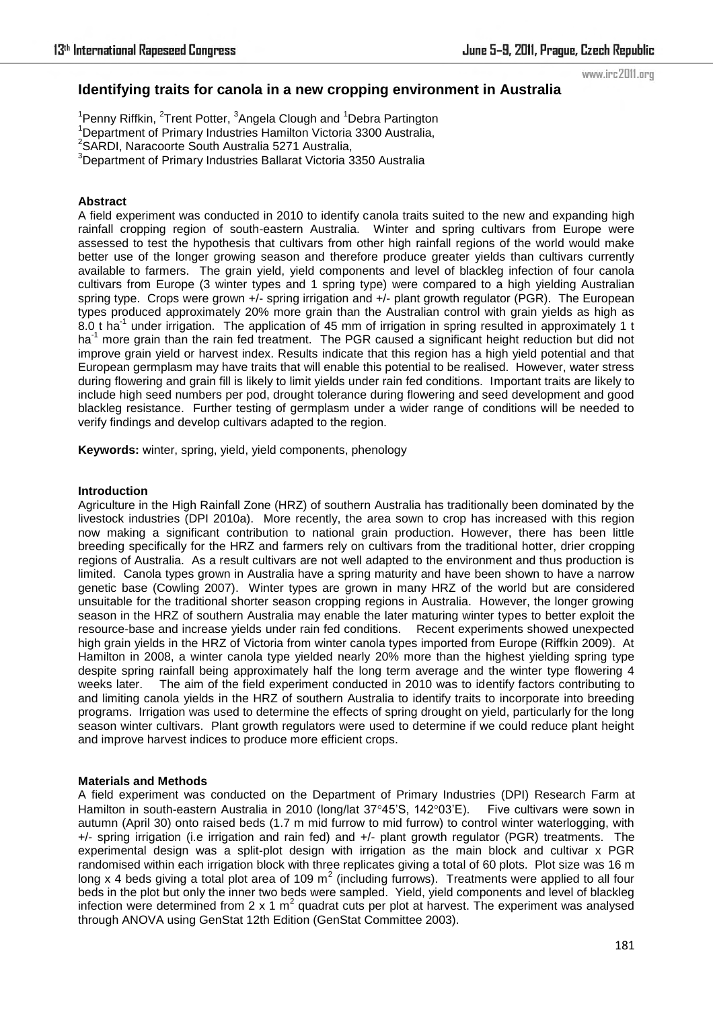www.irc2011.org

# **Identifying traits for canola in a new cropping environment in Australia**

<sup>1</sup>Penny Riffkin, <sup>2</sup>Trent Potter, <sup>3</sup>Angela Clough and <sup>1</sup>Debra Partington

- <sup>1</sup>Department of Primary Industries Hamilton Victoria 3300 Australia,
- <sup>2</sup> SARDI, Naracoorte South Australia 5271 Australia,
- <sup>3</sup>Department of Primary Industries Ballarat Victoria 3350 Australia

### **Abstract**

A field experiment was conducted in 2010 to identify canola traits suited to the new and expanding high rainfall cropping region of south-eastern Australia. Winter and spring cultivars from Europe were assessed to test the hypothesis that cultivars from other high rainfall regions of the world would make better use of the longer growing season and therefore produce greater yields than cultivars currently available to farmers. The grain yield, yield components and level of blackleg infection of four canola cultivars from Europe (3 winter types and 1 spring type) were compared to a high yielding Australian spring type. Crops were grown +/- spring irrigation and +/- plant growth regulator (PGR). The European types produced approximately 20% more grain than the Australian control with grain yields as high as 8.0 t ha<sup>-1</sup> under irrigation. The application of 45 mm of irrigation in spring resulted in approximately 1 t ha<sup>-1</sup> more grain than the rain fed treatment. The PGR caused a significant height reduction but did not improve grain yield or harvest index. Results indicate that this region has a high yield potential and that European germplasm may have traits that will enable this potential to be realised. However, water stress during flowering and grain fill is likely to limit yields under rain fed conditions. Important traits are likely to include high seed numbers per pod, drought tolerance during flowering and seed development and good blackleg resistance. Further testing of germplasm under a wider range of conditions will be needed to verify findings and develop cultivars adapted to the region.

**Keywords:** winter, spring, yield, yield components, phenology

#### **Introduction**

Agriculture in the High Rainfall Zone (HRZ) of southern Australia has traditionally been dominated by the livestock industries (DPI 2010a). More recently, the area sown to crop has increased with this region now making a significant contribution to national grain production. However, there has been little breeding specifically for the HRZ and farmers rely on cultivars from the traditional hotter, drier cropping regions of Australia. As a result cultivars are not well adapted to the environment and thus production is limited. Canola types grown in Australia have a spring maturity and have been shown to have a narrow genetic base (Cowling 2007). Winter types are grown in many HRZ of the world but are considered unsuitable for the traditional shorter season cropping regions in Australia. However, the longer growing season in the HRZ of southern Australia may enable the later maturing winter types to better exploit the resource-base and increase yields under rain fed conditions. Recent experiments showed unexpected high grain yields in the HRZ of Victoria from winter canola types imported from Europe (Riffkin 2009). At Hamilton in 2008, a winter canola type yielded nearly 20% more than the highest yielding spring type despite spring rainfall being approximately half the long term average and the winter type flowering 4 weeks later. The aim of the field experiment conducted in 2010 was to identify factors contributing to and limiting canola yields in the HRZ of southern Australia to identify traits to incorporate into breeding programs. Irrigation was used to determine the effects of spring drought on yield, particularly for the long season winter cultivars. Plant growth regulators were used to determine if we could reduce plant height and improve harvest indices to produce more efficient crops.

#### **Materials and Methods**

A field experiment was conducted on the Department of Primary Industries (DPI) Research Farm at Hamilton in south-eastern Australia in 2010 (long/lat 37°45'S, 142°03'E). Five cultivars were sown in autumn (April 30) onto raised beds (1.7 m mid furrow to mid furrow) to control winter waterlogging, with +/- spring irrigation (i.e irrigation and rain fed) and +/- plant growth regulator (PGR) treatments. The experimental design was a split-plot design with irrigation as the main block and cultivar x PGR randomised within each irrigation block with three replicates giving a total of 60 plots. Plot size was 16 m long x 4 beds giving a total plot area of 109 m<sup>2</sup> (including furrows). Treatments were applied to all four beds in the plot but only the inner two beds were sampled. Yield, yield components and level of blackleg infection were determined from 2 x 1 m<sup>2</sup> quadrat cuts per plot at harvest. The experiment was analysed through ANOVA using GenStat 12th Edition (GenStat Committee 2003).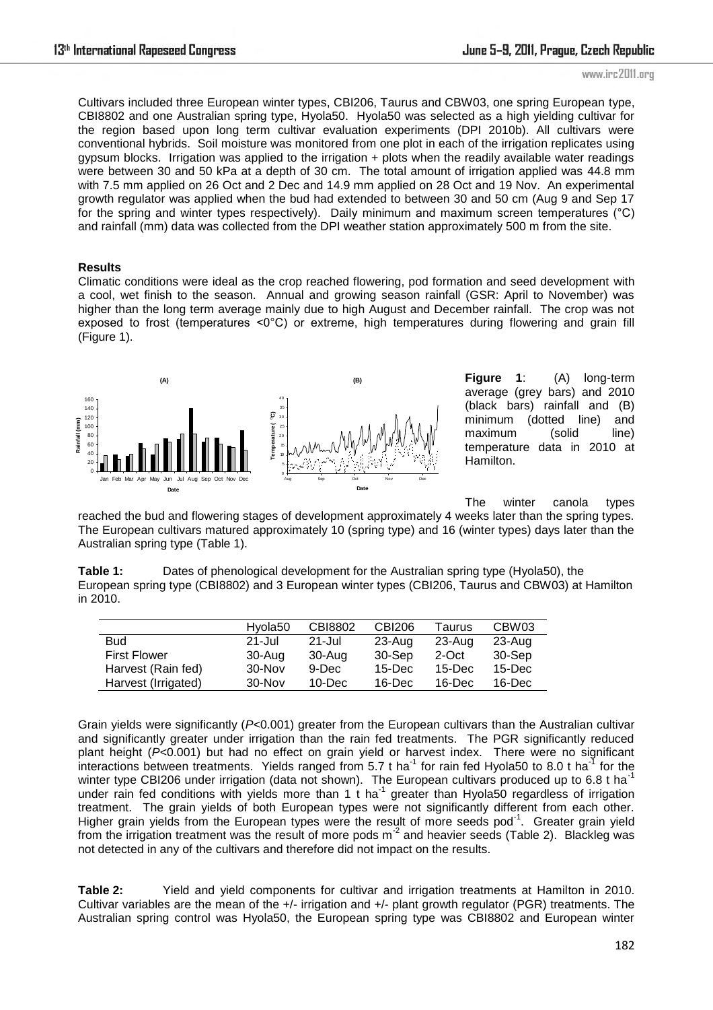Cultivars included three European winter types, CBI206, Taurus and CBW03, one spring European type, CBI8802 and one Australian spring type, Hyola50. Hyola50 was selected as a high yielding cultivar for the region based upon long term cultivar evaluation experiments (DPI 2010b). All cultivars were conventional hybrids. Soil moisture was monitored from one plot in each of the irrigation replicates using gypsum blocks. Irrigation was applied to the irrigation  $+$  plots when the readily available water readings were between 30 and 50 kPa at a depth of 30 cm. The total amount of irrigation applied was 44.8 mm with 7.5 mm applied on 26 Oct and 2 Dec and 14.9 mm applied on 28 Oct and 19 Nov. An experimental growth regulator was applied when the bud had extended to between 30 and 50 cm (Aug 9 and Sep 17 for the spring and winter types respectively). Daily minimum and maximum screen temperatures (°C) and rainfall (mm) data was collected from the DPI weather station approximately 500 m from the site.

#### **Results**

Climatic conditions were ideal as the crop reached flowering, pod formation and seed development with a cool, wet finish to the season. Annual and growing season rainfall (GSR: April to November) was higher than the long term average mainly due to high August and December rainfall. The crop was not exposed to frost (temperatures <0°C) or extreme, high temperatures during flowering and grain fill (Figure 1).



**Figure 1**: (A) long-term average (grey bars) and 2010 (black bars) rainfall and (B) minimum (dotted line) and maximum (solid line) temperature data in 2010 at Hamilton.

The winter canola types

reached the bud and flowering stages of development approximately 4 weeks later than the spring types. The European cultivars matured approximately 10 (spring type) and 16 (winter types) days later than the Australian spring type (Table 1).

**Table 1:** Dates of phenological development for the Australian spring type (Hyola50), the European spring type (CBI8802) and 3 European winter types (CBI206, Taurus and CBW03) at Hamilton in 2010.

|                     | Hvola <sub>50</sub> | CBI8802    | CBI206    | Taurus    | CBW03      |
|---------------------|---------------------|------------|-----------|-----------|------------|
| <b>Bud</b>          | 21-Jul              | $21 -$ Jul | 23-Aug    | 23-Aug    | $23 - Aug$ |
| <b>First Flower</b> | 30-Aug              | 30-Aug     | 30-Sep    | 2-Oct     | 30-Sep     |
| Harvest (Rain fed)  | $30 - Nov$          | 9-Dec      | $15$ -Dec | $15$ -Dec | $15$ -Dec  |
| Harvest (Irrigated) | $30 - Nov$          | $10 - Dec$ | 16-Dec    | $16$ -Dec | $16$ -Dec  |

Grain yields were significantly (*P<*0.001) greater from the European cultivars than the Australian cultivar and significantly greater under irrigation than the rain fed treatments. The PGR significantly reduced plant height (*P<*0.001) but had no effect on grain yield or harvest index. There were no significant interactions between treatments. Yields ranged from 5.7 t ha<sup>-1</sup> for rain fed Hyola50 to 8.0 t ha<sup>-1</sup> for the winter type CBI206 under irrigation (data not shown). The European cultivars produced up to 6.8 t ha<sup>-1</sup> under rain fed conditions with yields more than 1 t ha<sup>-1</sup> greater than Hyola50 regardless of irrigation treatment. The grain yields of both European types were not significantly different from each other. Higher grain yields from the European types were the result of more seeds pod<sup>-1</sup>. Greater grain yield from the irrigation treatment was the result of more pods m<sup>-2</sup> and heavier seeds (Table 2). Blackleg was not detected in any of the cultivars and therefore did not impact on the results.

**Table 2:** Yield and yield components for cultivar and irrigation treatments at Hamilton in 2010. Cultivar variables are the mean of the +/- irrigation and +/- plant growth regulator (PGR) treatments. The Australian spring control was Hyola50, the European spring type was CBI8802 and European winter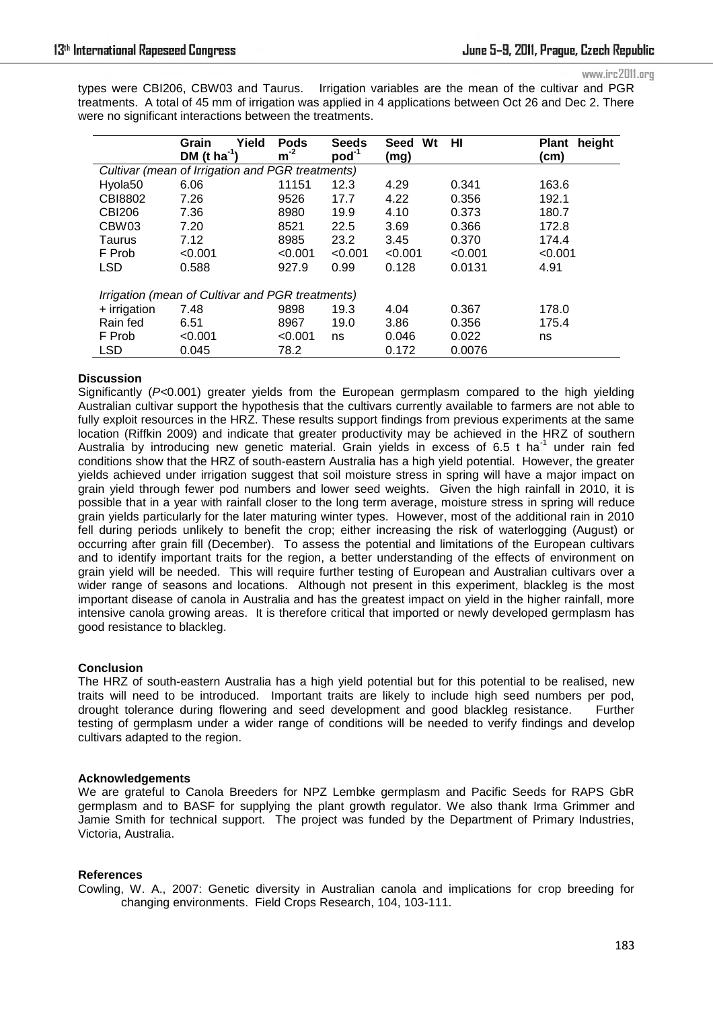www.irc2011.org

types were CBI206, CBW03 and Taurus. Irrigation variables are the mean of the cultivar and PGR treatments. A total of 45 mm of irrigation was applied in 4 applications between Oct 26 and Dec 2. There were no significant interactions between the treatments.

|                                                  | Yield<br>Grain           | <b>Pods</b> | <b>Seeds</b> | Wt<br>Seed | HI      | height<br><b>Plant</b> |  |  |  |  |
|--------------------------------------------------|--------------------------|-------------|--------------|------------|---------|------------------------|--|--|--|--|
|                                                  | DM (t ha <sup>-1</sup> ) | $m^{-2}$    | $pod^{-1}$   | (mg)       |         | (cm)                   |  |  |  |  |
| Cultivar (mean of Irrigation and PGR treatments) |                          |             |              |            |         |                        |  |  |  |  |
| Hyola <sub>50</sub>                              | 6.06                     | 11151       | 12.3         | 4.29       | 0.341   | 163.6                  |  |  |  |  |
| CBI8802                                          | 7.26                     | 9526        | 17.7         | 4.22       | 0.356   | 192.1                  |  |  |  |  |
| <b>CBI206</b>                                    | 7.36                     | 8980        | 19.9         | 4.10       | 0.373   | 180.7                  |  |  |  |  |
| CBW03                                            | 7.20                     | 8521        | 22.5         | 3.69       | 0.366   | 172.8                  |  |  |  |  |
| Taurus                                           | 7.12                     | 8985        | 23.2         | 3.45       | 0.370   | 174.4                  |  |  |  |  |
| F Prob                                           | < 0.001                  | < 0.001     | < 0.001      | < 0.001    | < 0.001 | < 0.001                |  |  |  |  |
| <b>LSD</b>                                       | 0.588                    | 927.9       | 0.99         | 0.128      | 0.0131  | 4.91                   |  |  |  |  |
|                                                  |                          |             |              |            |         |                        |  |  |  |  |
| Irrigation (mean of Cultivar and PGR treatments) |                          |             |              |            |         |                        |  |  |  |  |
| + irrigation                                     | 7.48                     | 9898        | 19.3         | 4.04       | 0.367   | 178.0                  |  |  |  |  |
| Rain fed                                         | 6.51                     | 8967        | 19.0         | 3.86       | 0.356   | 175.4                  |  |  |  |  |
| F Prob                                           | < 0.001                  | < 0.001     | ns           | 0.046      | 0.022   | ns                     |  |  |  |  |
| <b>LSD</b>                                       | 0.045                    | 78.2        |              | 0.172      | 0.0076  |                        |  |  |  |  |

### **Discussion**

Significantly (*P<*0.001) greater yields from the European germplasm compared to the high yielding Australian cultivar support the hypothesis that the cultivars currently available to farmers are not able to fully exploit resources in the HRZ. These results support findings from previous experiments at the same location (Riffkin 2009) and indicate that greater productivity may be achieved in the HRZ of southern Australia by introducing new genetic material. Grain yields in excess of 6.5 t ha<sup>-1</sup> under rain fed conditions show that the HRZ of south-eastern Australia has a high yield potential. However, the greater yields achieved under irrigation suggest that soil moisture stress in spring will have a major impact on grain yield through fewer pod numbers and lower seed weights. Given the high rainfall in 2010, it is possible that in a year with rainfall closer to the long term average, moisture stress in spring will reduce grain yields particularly for the later maturing winter types. However, most of the additional rain in 2010 fell during periods unlikely to benefit the crop; either increasing the risk of waterlogging (August) or occurring after grain fill (December). To assess the potential and limitations of the European cultivars and to identify important traits for the region, a better understanding of the effects of environment on grain yield will be needed. This will require further testing of European and Australian cultivars over a wider range of seasons and locations. Although not present in this experiment, blackleg is the most important disease of canola in Australia and has the greatest impact on yield in the higher rainfall, more intensive canola growing areas. It is therefore critical that imported or newly developed germplasm has good resistance to blackleg.

## **Conclusion**

The HRZ of south-eastern Australia has a high yield potential but for this potential to be realised, new traits will need to be introduced. Important traits are likely to include high seed numbers per pod, drought tolerance during flowering and seed development and good blackleg resistance. Further testing of germplasm under a wider range of conditions will be needed to verify findings and develop cultivars adapted to the region.

#### **Acknowledgements**

We are grateful to Canola Breeders for NPZ Lembke germplasm and Pacific Seeds for RAPS GbR germplasm and to BASF for supplying the plant growth regulator. We also thank Irma Grimmer and Jamie Smith for technical support. The project was funded by the Department of Primary Industries, Victoria, Australia.

## **References**

Cowling, W. A., 2007: Genetic diversity in Australian canola and implications for crop breeding for changing environments. Field Crops Research, 104, 103-111.